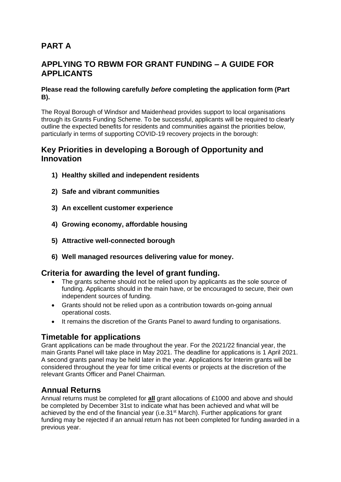# **PART A**

## **APPLYING TO RBWM FOR GRANT FUNDING – A GUIDE FOR APPLICANTS**

#### **Please read the following carefully** *before* **completing the application form (Part B).**

The Royal Borough of Windsor and Maidenhead provides support to local organisations through its Grants Funding Scheme. To be successful, applicants will be required to clearly outline the expected benefits for residents and communities against the priorities below, particularly in terms of supporting COVID-19 recovery projects in the borough:

#### **Key Priorities in developing a Borough of Opportunity and Innovation**

- **1) Healthy skilled and independent residents**
- **2) Safe and vibrant communities**
- **3) An excellent customer experience**
- **4) Growing economy, affordable housing**
- **5) Attractive well-connected borough**
- **6) Well managed resources delivering value for money.**

#### **Criteria for awarding the level of grant funding.**

- The grants scheme should not be relied upon by applicants as the sole source of funding. Applicants should in the main have, or be encouraged to secure, their own independent sources of funding.
- Grants should not be relied upon as a contribution towards on-going annual operational costs.
- It remains the discretion of the Grants Panel to award funding to organisations.

## **Timetable for applications**

Grant applications can be made throughout the year. For the 2021/22 financial year, the main Grants Panel will take place in May 2021. The deadline for applications is 1 April 2021. A second grants panel may be held later in the year. Applications for Interim grants will be considered throughout the year for time critical events or projects at the discretion of the relevant Grants Officer and Panel Chairman.

#### **Annual Returns**

Annual returns must be completed for **all** grant allocations of £1000 and above and should be completed by December 31st to indicate what has been achieved and what will be achieved by the end of the financial year (i.e.31<sup>st</sup> March). Further applications for grant funding may be rejected if an annual return has not been completed for funding awarded in a previous year.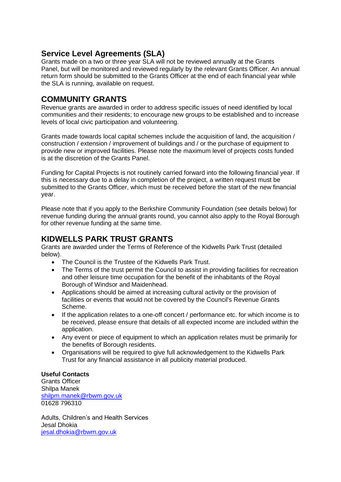### **Service Level Agreements (SLA)**

Grants made on a two or three year SLA will not be reviewed annually at the Grants Panel, but will be monitored and reviewed regularly by the relevant Grants Officer. An annual return form should be submitted to the Grants Officer at the end of each financial year while the SLA is running, available on request.

### **COMMUNITY GRANTS**

Revenue grants are awarded in order to address specific issues of need identified by local communities and their residents; to encourage new groups to be established and to increase levels of local civic participation and volunteering.

Grants made towards local capital schemes include the acquisition of land, the acquisition / construction / extension / improvement of buildings and / or the purchase of equipment to provide new or improved facilities. Please note the maximum level of projects costs funded is at the discretion of the Grants Panel.

Funding for Capital Projects is not routinely carried forward into the following financial year. If this is necessary due to a delay in completion of the project, a written request must be submitted to the Grants Officer, which must be received before the start of the new financial year.

Please note that if you apply to the Berkshire Community Foundation (see details below) for revenue funding during the annual grants round, you cannot also apply to the Royal Borough for other revenue funding at the same time.

## **KIDWELLS PARK TRUST GRANTS**

Grants are awarded under the Terms of Reference of the Kidwells Park Trust (detailed below).

- The Council is the Trustee of the Kidwells Park Trust.
- The Terms of the trust permit the Council to assist in providing facilities for recreation and other leisure time occupation for the benefit of the inhabitants of the Royal Borough of Windsor and Maidenhead.
- Applications should be aimed at increasing cultural activity or the provision of facilities or events that would not be covered by the Council's Revenue Grants Scheme.
- If the application relates to a one-off concert / performance etc. for which income is to be received, please ensure that details of all expected income are included within the application.
- Any event or piece of equipment to which an application relates must be primarily for the benefits of Borough residents.
- Organisations will be required to give full acknowledgement to the Kidwells Park Trust for any financial assistance in all publicity material produced.

#### **Useful Contacts**

Grants Officer Shilpa Manek [shilpm.manek@rbwm.gov.uk](mailto:shilpm.manek@rbwm.gov.uk) 01628 796310

Adults, Children's and Health Services Jesal Dhokia [jesal.dhokia@rbwm.gov.uk](mailto:jesal.dhokia@rbwm.gov.uk)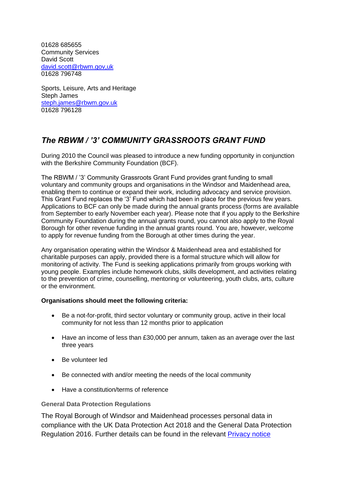01628 685655 Community Services David Scott [david.scott@rbwm.gov,uk](mailto:david.scott@rbwm.gov,uk) 01628 796748

Sports, Leisure, Arts and Heritage Steph James [steph.james@rbwm.gov.uk](mailto:steph.james@rbwm.gov.uk) 01628 796128

## *The RBWM / '3' COMMUNITY GRASSROOTS GRANT FUND*

During 2010 the Council was pleased to introduce a new funding opportunity in conjunction with the Berkshire Community Foundation (BCF).

The RBWM / '3' Community Grassroots Grant Fund provides grant funding to small voluntary and community groups and organisations in the Windsor and Maidenhead area, enabling them to continue or expand their work, including advocacy and service provision. This Grant Fund replaces the '3' Fund which had been in place for the previous few years. Applications to BCF can only be made during the annual grants process (forms are available from September to early November each year). Please note that if you apply to the Berkshire Community Foundation during the annual grants round, you cannot also apply to the Royal Borough for other revenue funding in the annual grants round. You are, however, welcome to apply for revenue funding from the Borough at other times during the year.

Any organisation operating within the Windsor & Maidenhead area and established for charitable purposes can apply, provided there is a formal structure which will allow for monitoring of activity. The Fund is seeking applications primarily from groups working with young people. Examples include homework clubs, skills development, and activities relating to the prevention of crime, counselling, mentoring or volunteering, youth clubs, arts, culture or the environment.

#### **Organisations should meet the following criteria:**

- Be a not-for-profit, third sector voluntary or community group, active in their local community for not less than 12 months prior to application
- Have an income of less than £30,000 per annum, taken as an average over the last three years
- Be volunteer led
- Be connected with and/or meeting the needs of the local community
- Have a constitution/terms of reference

#### **General Data Protection Regulations**

The Royal Borough of Windsor and Maidenhead processes personal data in compliance with the UK Data Protection Act 2018 and the General Data Protection Regulation 2016. Further details can be found in the relevant [Privacy notice](https://www.rbwm.gov.uk/home/council-and-democracy/strategies-and-policies/data-protection/privacy-notices)